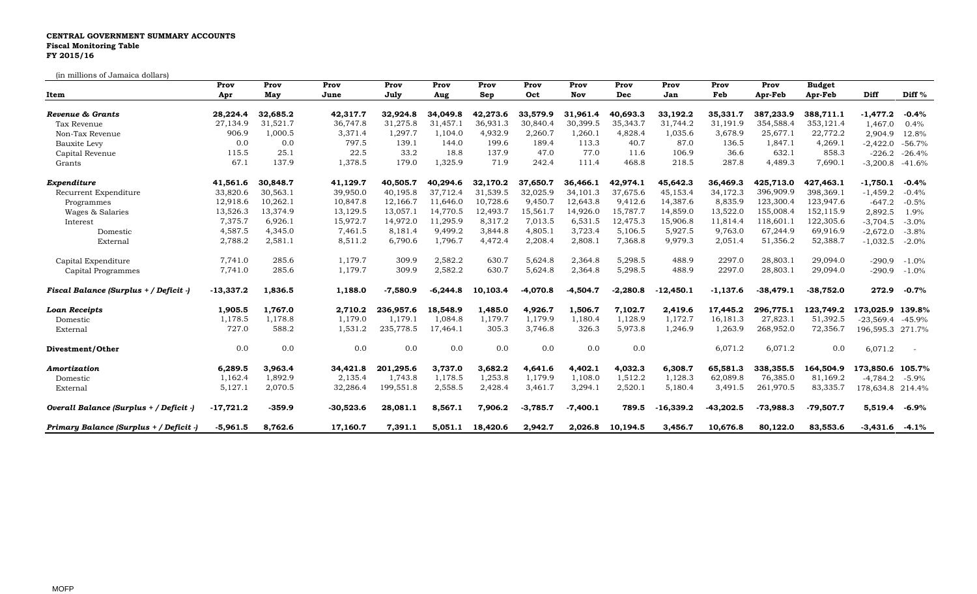## **CENTRAL GOVERNMENT SUMMARY ACCOUNTS Fiscal Monitoring Table FY 2015/16**

(in millions of Jamaica dollars)

| ni miniono oi odindica dondi o<br>Item  | Prov<br>Apr | Prov<br>May | Prov<br>June | Prov<br>July | Prov<br>Aug | Prov<br>Sep | Prov<br>Oct | Prov<br>Nov | Prov<br>Dec | Prov<br>Jan | Prov<br>Feb | Prov<br>Apr-Feb | <b>Budget</b><br>Apr-Feb | Diff                | Diff <sup>%</sup>        |
|-----------------------------------------|-------------|-------------|--------------|--------------|-------------|-------------|-------------|-------------|-------------|-------------|-------------|-----------------|--------------------------|---------------------|--------------------------|
| Revenue & Grants                        | 28,224.4    | 32,685.2    | 42,317.7     | 32,924.8     | 34,049.8    | 42,273.6    | 33,579.9    | 31,961.4    | 40,693.3    | 33,192.2    | 35,331.7    | 387,233.9       | 388,711.1                | $-1,477.2$          | $-0.4%$                  |
| Tax Revenue                             | 27,134.9    | 31,521.7    | 36,747.8     | 31,275.8     | 31,457.1    | 36,931.3    | 30,840.4    | 30,399.5    | 35,343.7    | 31,744.2    | 31,191.9    | 354,588.4       | 353,121.4                | 1,467.0             | 0.4%                     |
| Non-Tax Revenue                         | 906.9       | 1,000.5     | 3,371.4      | 1,297.7      | 1,104.0     | 4,932.9     | 2,260.7     | 1,260.1     | 4,828.4     | 1,035.6     | 3,678.9     | 25,677.1        | 22,772.2                 | 2,904.9             | 12.8%                    |
| Bauxite Levy                            | 0.0         | 0.0         | 797.5        | 139.1        | 144.0       | 199.6       | 189.4       | 113.3       | 40.7        | 87.0        | 136.5       | 1,847.1         | 4,269.1                  | $-2,422.0$          | $-56.7%$                 |
| Capital Revenue                         | 115.5       | 25.1        | 22.5         | 33.2         | 18.8        | 137.9       | 47.0        | 77.0        | 11.6        | 106.9       | 36.6        | 632.1           | 858.3                    | $-226.2$            | $-26.4%$                 |
| Grants                                  | 67.1        | 137.9       | 1,378.5      | 179.0        | 1,325.9     | 71.9        | 242.4       | 111.4       | 468.8       | 218.5       | 287.8       | 4,489.3         | 7,690.1                  | $-3,200.8$          | $-41.6%$                 |
| Expenditure                             | 41,561.6    | 30,848.7    | 41,129.7     | 40,505.7     | 40,294.6    | 32,170.2    | 37,650.7    | 36,466.1    | 42,974.1    | 45,642.3    | 36,469.3    | 425,713.0       | 427,463.1                | $-1,750.1$          | $-0.4%$                  |
| Recurrent Expenditure                   | 33,820.6    | 30,563.1    | 39,950.0     | 40,195.8     | 37,712.4    | 31,539.5    | 32,025.9    | 34,101.3    | 37,675.6    | 45,153.4    | 34,172.3    | 396,909.9       | 398,369.1                | $-1,459.2$          | $-0.4%$                  |
| Programmes                              | 12,918.6    | 10,262.1    | 10,847.8     | 12,166.7     | 11,646.0    | 10,728.6    | 9,450.7     | 12,643.8    | 9,412.6     | 14,387.6    | 8,835.9     | 123,300.4       | 123,947.6                | $-647.2$            | $-0.5%$                  |
| Wages & Salaries                        | 13,526.3    | 13,374.9    | 13,129.5     | 13,057.1     | 14,770.5    | 12,493.7    | 15,561.7    | 14,926.0    | 15,787.7    | 14,859.0    | 13,522.0    | 155,008.4       | 152,115.9                | 2,892.5             | 1.9%                     |
| Interest                                | 7,375.7     | 6,926.1     | 15,972.7     | 14,972.0     | 11,295.9    | 8,317.2     | 7,013.5     | 6,531.5     | 12,475.3    | 15,906.8    | 11,814.4    | 118,601.1       | 122,305.6                | $-3,704.5$          | $-3.0%$                  |
| Domestic                                | 4,587.5     | 4,345.0     | 7,461.5      | 8,181.4      | 9,499.2     | 3,844.8     | 4,805.1     | 3,723.4     | 5,106.5     | 5,927.5     | 9,763.0     | 67,244.9        | 69,916.9                 | $-2,672.0$          | $-3.8%$                  |
| External                                | 2,788.2     | 2,581.1     | 8,511.2      | 6,790.6      | 1,796.7     | 4,472.4     | 2,208.4     | 2,808.1     | 7,368.8     | 9,979.3     | 2,051.4     | 51,356.2        | 52,388.7                 | $-1,032.5$          | $-2.0%$                  |
| Capital Expenditure                     | 7,741.0     | 285.6       | 1,179.7      | 309.9        | 2,582.2     | 630.7       | 5,624.8     | 2,364.8     | 5,298.5     | 488.9       | 2297.0      | 28,803.1        | 29,094.0                 | $-290.9$            | $-1.0%$                  |
| Capital Programmes                      | 7,741.0     | 285.6       | 1,179.7      | 309.9        | 2,582.2     | 630.7       | 5,624.8     | 2,364.8     | 5,298.5     | 488.9       | 2297.0      | 28,803.1        | 29,094.0                 | $-290.9$            | $-1.0%$                  |
| Fiscal Balance (Surplus + / Deficit -)  | $-13,337.2$ | 1,836.5     | 1,188.0      | $-7,580.9$   | $-6,244.8$  | 10,103.4    | $-4.070.8$  | $-4.504.7$  | $-2,280.8$  | $-12,450.1$ | $-1,137.6$  | $-38,479.1$     | $-38,752.0$              | 272.9               | $-0.7%$                  |
| <b>Loan Receipts</b>                    | 1,905.5     | 1,767.0     | 2,710.2      | 236,957.6    | 18,548.9    | 1,485.0     | 4,926.7     | 1,506.7     | 7,102.7     | 2,419.6     | 17,445.2    | 296,775.1       | 123,749.2                | 173,025.9 139.8%    |                          |
| Domestic                                | 1,178.5     | 1,178.8     | 1.179.0      | 1.179.1      | 1,084.8     | 1,179.7     | 1,179.9     | 1,180.4     | 1,128.9     | 1,172.7     | 16,181.3    | 27,823.1        | 51,392.5                 | $-23,569.4$         | -45.9%                   |
| External                                | 727.0       | 588.2       | 1,531.2      | 235,778.5    | 17,464.1    | 305.3       | 3,746.8     | 326.3       | 5,973.8     | 1,246.9     | 1,263.9     | 268,952.0       | 72,356.7                 | 196,595.3 271.7%    |                          |
| Divestment/Other                        | 0.0         | 0.0         | 0.0          | 0.0          | 0.0         | 0.0         | 0.0         | 0.0         | 0.0         |             | 6,071.2     | 6,071.2         | 0.0                      | 6,071.2             | $\overline{\phantom{a}}$ |
| Amortization                            | 6,289.5     | 3,963.4     | 34,421.8     | 201,295.6    | 3,737.0     | 3,682.2     | 4,641.6     | 4,402.1     | 4,032.3     | 6,308.7     | 65,581.3    | 338,355.5       | 164,504.9                | 173,850.6 105.7%    |                          |
| Domestic                                | 1,162.4     | 1,892.9     | 2,135.4      | 1,743.8      | 1,178.5     | 1,253.8     | 1,179.9     | 1,108.0     | 1,512.2     | 1,128.3     | 62,089.8    | 76,385.0        | 81,169.2                 | -4,784.2            | $-5.9\%$                 |
| External                                | 5,127.1     | 2,070.5     | 32,286.4     | 199,551.8    | 2,558.5     | 2,428.4     | 3,461.7     | 3,294.1     | 2,520.1     | 5,180.4     | 3,491.5     | 261,970.5       | 83,335.7                 | 178,634.8 214.4%    |                          |
| Overall Balance (Surplus + / Deficit -) | $-17,721.2$ | $-359.9$    | $-30,523.6$  | 28,081.1     | 8,567.1     | 7,906.2     | $-3.785.7$  | $-7,400.1$  | 789.5       | $-16,339.2$ | $-43,202.5$ | $-73,988.3$     | $-79,507.7$              | 5,519.4             | -6.9%                    |
| Primary Balance (Surplus + / Deficit -) | $-5,961.5$  | 8,762.6     | 17,160.7     | 7,391.1      | 5,051.1     | 18,420.6    | 2,942.7     | 2,026.8     | 10,194.5    | 3,456.7     | 10,676.8    | 80,122.0        | 83,553.6                 | $-3,431.6$ $-4.1\%$ |                          |